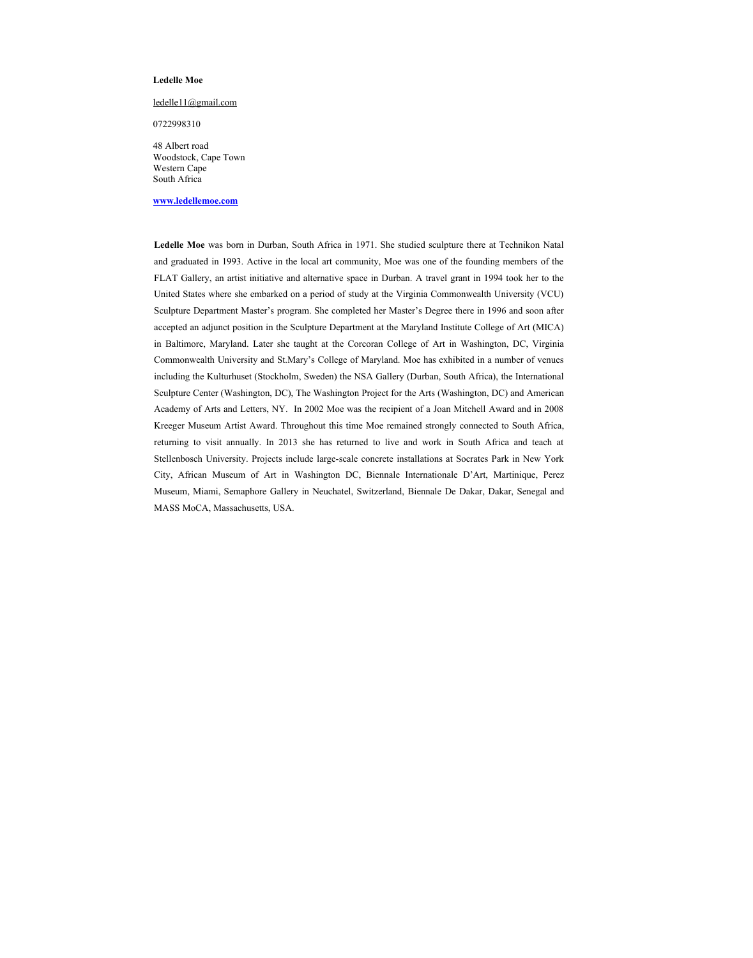### **Ledelle Moe**

#### [ledelle11@gmail.com](mailto:ledellemoe@hotmail.com)

0722998310

 48 Albert road Woodstock, Cape Town Western Cape South Africa

#### **[www.ledellemoe.com](http://www.ledellemoe.com/)**

**Ledelle Moe** was born in Durban, South Africa in 1971. She studied sculpture there at Technikon Natal and graduated in 1993. Active in the local art community, Moe was one of the founding members of the FLAT Gallery, an artist initiative and alternative space in Durban. A travel grant in 1994 took her to the United States where she embarked on a period of study at the Virginia Commonwealth University (VCU) Sculpture Department Master's program. She completed her Master's Degree there in 1996 and soon after accepted an adjunct position in the Sculpture Department at the Maryland Institute College of Art (MICA) in Baltimore, Maryland. Later she taught at the Corcoran College of Art in Washington, DC, Virginia Commonwealth University and St.Mary's College of Maryland. Moe has exhibited in a number of venues including the Kulturhuset (Stockholm, Sweden) the NSA Gallery (Durban, South Africa), the International Sculpture Center (Washington, DC), The Washington Project for the Arts (Washington, DC) and American Academy of Arts and Letters, NY. In 2002 Moe was the recipient of a Joan Mitchell Award and in 2008 Kreeger Museum Artist Award. Throughout this time Moe remained strongly connected to South Africa, returning to visit annually. In 2013 she has returned to live and work in South Africa and teach at Stellenbosch University. Projects include large-scale concrete installations at Socrates Park in New York City, African Museum of Art in Washington DC, Biennale Internationale D'Art, Martinique, Perez Museum, Miami, Semaphore Gallery in Neuchatel, Switzerland, Biennale De Dakar, Dakar, Senegal and MASS MoCA, Massachusetts, USA.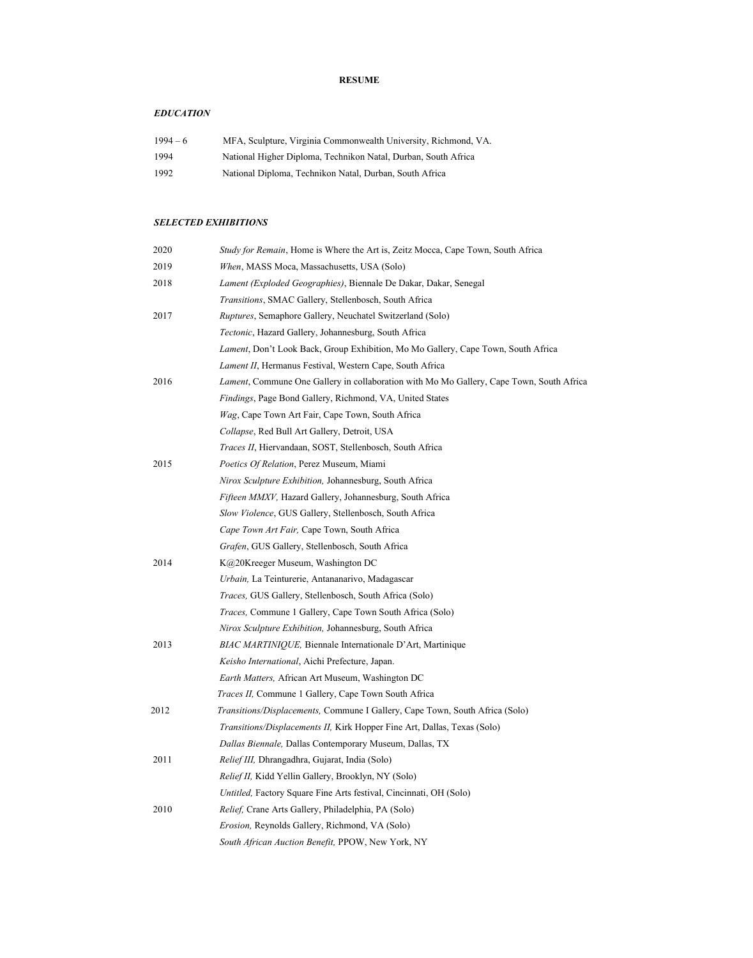## **RESUME**

## *EDUCATION*

| $1994 - 6$ | MFA, Sculpture, Virginia Commonwealth University, Richmond, VA. |
|------------|-----------------------------------------------------------------|
| 1994       | National Higher Diploma, Technikon Natal, Durban, South Africa  |
| 1992       | National Diploma, Technikon Natal, Durban, South Africa         |

## *SELECTED EXHIBITIONS*

| 2020 | Study for Remain, Home is Where the Art is, Zeitz Mocca, Cape Town, South Africa         |
|------|------------------------------------------------------------------------------------------|
| 2019 | When, MASS Moca, Massachusetts, USA (Solo)                                               |
| 2018 | Lament (Exploded Geographies), Biennale De Dakar, Dakar, Senegal                         |
|      | Transitions, SMAC Gallery, Stellenbosch, South Africa                                    |
| 2017 | Ruptures, Semaphore Gallery, Neuchatel Switzerland (Solo)                                |
|      | Tectonic, Hazard Gallery, Johannesburg, South Africa                                     |
|      | Lament, Don't Look Back, Group Exhibition, Mo Mo Gallery, Cape Town, South Africa        |
|      | Lament II, Hermanus Festival, Western Cape, South Africa                                 |
| 2016 | Lament, Commune One Gallery in collaboration with Mo Mo Gallery, Cape Town, South Africa |
|      | Findings, Page Bond Gallery, Richmond, VA, United States                                 |
|      | Wag, Cape Town Art Fair, Cape Town, South Africa                                         |
|      | Collapse, Red Bull Art Gallery, Detroit, USA                                             |
|      | Traces II, Hiervandaan, SOST, Stellenbosch, South Africa                                 |
| 2015 | Poetics Of Relation, Perez Museum, Miami                                                 |
|      | Nirox Sculpture Exhibition, Johannesburg, South Africa                                   |
|      | Fifteen MMXV, Hazard Gallery, Johannesburg, South Africa                                 |
|      | Slow Violence, GUS Gallery, Stellenbosch, South Africa                                   |
|      | Cape Town Art Fair, Cape Town, South Africa                                              |
|      | Grafen, GUS Gallery, Stellenbosch, South Africa                                          |
| 2014 | K@20Kreeger Museum, Washington DC                                                        |
|      | Urbain, La Teinturerie, Antananarivo, Madagascar                                         |
|      | Traces, GUS Gallery, Stellenbosch, South Africa (Solo)                                   |
|      | Traces, Commune 1 Gallery, Cape Town South Africa (Solo)                                 |
|      | Nirox Sculpture Exhibition, Johannesburg, South Africa                                   |
| 2013 | BIAC MARTINIQUE, Biennale Internationale D'Art, Martinique                               |
|      | Keisho International, Aichi Prefecture, Japan.                                           |
|      | Earth Matters, African Art Museum, Washington DC                                         |
|      | Traces II, Commune 1 Gallery, Cape Town South Africa                                     |
| 2012 | Transitions/Displacements, Commune I Gallery, Cape Town, South Africa (Solo)             |
|      | Transitions/Displacements II, Kirk Hopper Fine Art, Dallas, Texas (Solo)                 |
|      | Dallas Biennale, Dallas Contemporary Museum, Dallas, TX                                  |
| 2011 | Relief III, Dhrangadhra, Gujarat, India (Solo)                                           |
|      | Relief II, Kidd Yellin Gallery, Brooklyn, NY (Solo)                                      |
|      | Untitled, Factory Square Fine Arts festival, Cincinnati, OH (Solo)                       |
| 2010 | Relief, Crane Arts Gallery, Philadelphia, PA (Solo)                                      |
|      | Erosion, Reynolds Gallery, Richmond, VA (Solo)                                           |
|      | South African Auction Benefit, PPOW, New York, NY                                        |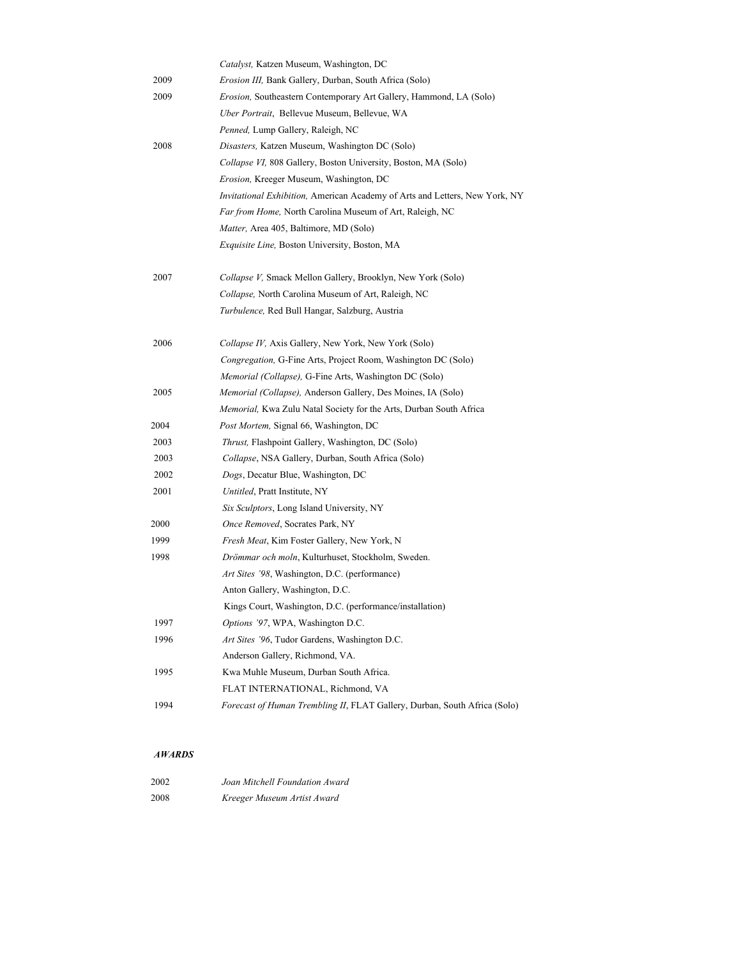|      | Catalyst, Katzen Museum, Washington, DC                                     |
|------|-----------------------------------------------------------------------------|
| 2009 | Erosion III, Bank Gallery, Durban, South Africa (Solo)                      |
| 2009 | Erosion, Southeastern Contemporary Art Gallery, Hammond, LA (Solo)          |
|      | Uber Portrait, Bellevue Museum, Bellevue, WA                                |
|      | Penned, Lump Gallery, Raleigh, NC                                           |
| 2008 | Disasters, Katzen Museum, Washington DC (Solo)                              |
|      | Collapse VI, 808 Gallery, Boston University, Boston, MA (Solo)              |
|      | Erosion, Kreeger Museum, Washington, DC                                     |
|      | Invitational Exhibition, American Academy of Arts and Letters, New York, NY |
|      | Far from Home, North Carolina Museum of Art, Raleigh, NC                    |
|      | Matter, Area 405, Baltimore, MD (Solo)                                      |
|      | Exquisite Line, Boston University, Boston, MA                               |
| 2007 | Collapse V, Smack Mellon Gallery, Brooklyn, New York (Solo)                 |
|      | Collapse, North Carolina Museum of Art, Raleigh, NC                         |
|      | Turbulence, Red Bull Hangar, Salzburg, Austria                              |
| 2006 | Collapse IV, Axis Gallery, New York, New York (Solo)                        |
|      | Congregation, G-Fine Arts, Project Room, Washington DC (Solo)               |
|      | Memorial (Collapse), G-Fine Arts, Washington DC (Solo)                      |
| 2005 | Memorial (Collapse), Anderson Gallery, Des Moines, IA (Solo)                |
|      | Memorial, Kwa Zulu Natal Society for the Arts, Durban South Africa          |
| 2004 | Post Mortem, Signal 66, Washington, DC                                      |
| 2003 | Thrust, Flashpoint Gallery, Washington, DC (Solo)                           |
| 2003 | Collapse, NSA Gallery, Durban, South Africa (Solo)                          |
| 2002 | Dogs, Decatur Blue, Washington, DC                                          |
| 2001 | Untitled, Pratt Institute, NY                                               |
|      | Six Sculptors, Long Island University, NY                                   |
| 2000 | Once Removed, Socrates Park, NY                                             |
| 1999 | Fresh Meat, Kim Foster Gallery, New York, N                                 |
| 1998 | Drömmar och moln, Kulturhuset, Stockholm, Sweden.                           |
|      | Art Sites '98, Washington, D.C. (performance)                               |
|      | Anton Gallery, Washington, D.C.                                             |
|      | Kings Court, Washington, D.C. (performance/installation)                    |
| 1997 | Options '97, WPA, Washington D.C.                                           |
| 1996 | Art Sites '96, Tudor Gardens, Washington D.C.                               |
|      | Anderson Gallery, Richmond, VA.                                             |
| 1995 | Kwa Muhle Museum, Durban South Africa.                                      |
|      | FLAT INTERNATIONAL, Richmond, VA                                            |
| 1994 | Forecast of Human Trembling II, FLAT Gallery, Durban, South Africa (Solo)   |

# *AWARDS*

| 2002 | Joan Mitchell Foundation Award |
|------|--------------------------------|
| 2008 | Kreeger Museum Artist Award    |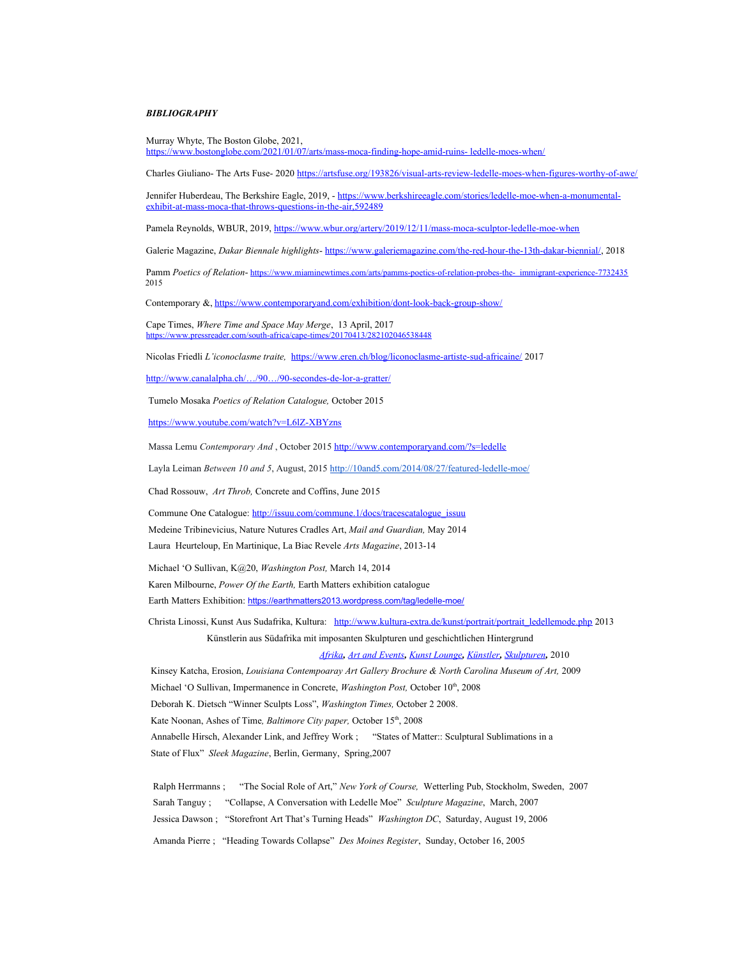#### *BIBLIOGRAPHY*

 Murray Whyte, The Boston Globe, 2021, [https://www.bostonglobe.com/2021/01/07/arts/mass-moca-finding-hope-amid-ruins- ledelle-moes-when/](https://www.bostonglobe.com/2021/01/07/arts/mass-moca-finding-hope-amid-ruins-ledelle-moes-when/)

Charles Giuliano- The Arts Fuse- 2020 <https://artsfuse.org/193826/visual-arts-review-ledelle-moes-when-figures-worthy-of-awe/>

Jennifer Huberdeau, The Berkshire Eagle, 2019, - [https://www.berkshireeagle.com/stories/ledelle-moe-when-a-monumental](https://www.berkshireeagle.com/stories/ledelle-moe-when-a-monumental-exhibit-at-mass-moca-that-throws-questions-in-the-air,592489) exhibit-at-mass-moca-that-throws-questions-in-the-air,592489

Pamela Reynolds, WBUR, 2019,<https://www.wbur.org/artery/2019/12/11/mass-moca-sculptor-ledelle-moe-when>

Galerie Magazine, *Dakar Biennale highlights*- <https://www.galeriemagazine.com/the-red-hour-the-13th-dakar-biennial/>, 2018

Pamm *Poetics of Relation*- [https://www.miaminewtimes.com/arts/pamms-poetics-of-relation-probes-the- immigrant-experience-7732435](https://www.miaminewtimes.com/arts/pamms-poetics-of-relation-probes-the-immigrant-experience-7732435) 2015

Contemporary &, <https://www.contemporaryand.com/exhibition/dont-look-back-group-show/>

 Cape Times, *Where Time and Space May Merge*, 13 April, 2017 <https://www.pressreader.com/south-africa/cape-times/20170413/282102046538448>

Nicolas Friedli *L'iconoclasme traite,* <https://www.eren.ch/blog/liconoclasme-artiste-sud-africaine/>2017

[http://www.canalalpha.ch/…/90…/90-secondes-de-lor-a-gratter/](http://www.canalalpha.ch/emissions/90secondes/90-secondes-de-lor-a-gratter/)

Tumelo Mosaka *Poetics of Relation Catalogue,* October 2015

<https://www.youtube.com/watch?v=L6lZ-XBYzns>

Massa Lemu *Contemporary And* , October 2015 <http://www.contemporaryand.com/?s=ledelle>

Layla Leiman *Between 10 and 5*, August, 2015<http://10and5.com/2014/08/27/featured-ledelle-moe/>

Chad Rossouw, *Art Throb,* Concrete and Coffins, June 2015

Commune One Catalogue: [http://issuu.com/commune.1/docs/tracescatalogue\\_issuu](http://issuu.com/commune.1/docs/tracescatalogue_issuu)

Medeine Tribinevicius, Nature Nutures Cradles Art, *Mail and Guardian,* May 2014

Laura Heurteloup, En Martinique, La Biac Revele *Arts Magazine*, 2013-14

Michael 'O Sullivan, K@20, *Washington Post,* March 14, 2014

Karen Milbourne, *Power Of the Earth,* Earth Matters exhibition catalogue

Earth Matters Exhibition: <https://earthmatters2013.wordpress.com/tag/ledelle-moe/>

Christa Linossi, Kunst Aus Sudafrika, Kultura: [http://www.kultura-extra.de/kunst/portrait/portrait\\_ledellemode.php](http://www.kultura-extra.de/kunst/portrait/portrait_ledellemode.php) 2013 Künstlerin aus Südafrika mit imposanten Skulpturen und geschichtlichen Hintergrund

*[Afrika](http://artandevents.mediaquell.com/category/afrika/), [Art and Events](http://artandevents.mediaquell.com/category/art-and-events/), [Kunst Lounge](http://artandevents.mediaquell.com/category/art-and-events/kunst-lounge/), [Künstler](http://artandevents.mediaquell.com/category/kunstler/), [Skulpturen](http://artandevents.mediaquell.com/category/art-and-events/skulpturen/),* 2010

Kinsey Katcha, Erosion, *Louisiana Contempoaray Art Gallery Brochure & North Carolina Museum of Art*, 2009 Michael 'O Sullivan, Impermanence in Concrete, *Washington Post*, October 10<sup>th</sup>, 2008 Deborah K. Dietsch "Winner Sculpts Loss", *Washington Times,* October 2 2008. Kate Noonan, Ashes of Time, Baltimore City paper, October 15<sup>th</sup>, 2008 Annabelle Hirsch, Alexander Link, and Jeffrey Work ; "States of Matter:: Sculptural Sublimations in a State of Flux" *Sleek Magazine*, Berlin, Germany, Spring,2007

 Ralph Herrmanns ; "The Social Role of Art," *New York of Course,* Wetterling Pub, Stockholm, Sweden, 2007 Sarah Tanguy ; "Collapse, A Conversation with Ledelle Moe" *Sculpture Magazine*, March, 2007 Jessica Dawson ; "Storefront Art That's Turning Heads" *Washington DC*, Saturday, August 19, 2006 Amanda Pierre ; "Heading Towards Collapse" *Des Moines Register*, Sunday, October 16, 2005